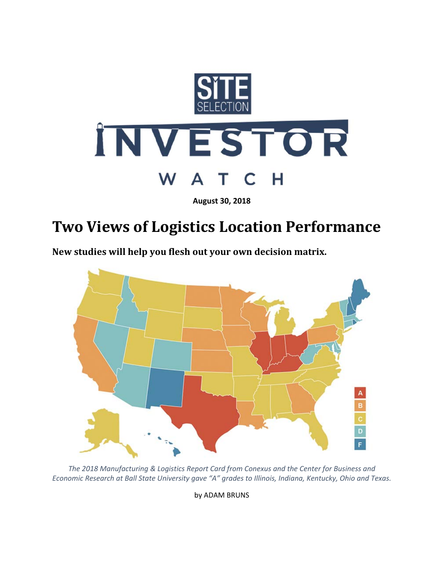

**August 30, 2018**

## **Two Views of Logistics Location Performance**

**New studies will help you flesh out your own decision matrix.**



*The 2018 Manufacturing & Logistics Report Card from Conexus and the Center for Business and Economic Research at Ball State University gave "A" grades to Illinois, Indiana, Kentucky, Ohio and Texas.*

by ADAM BRUNS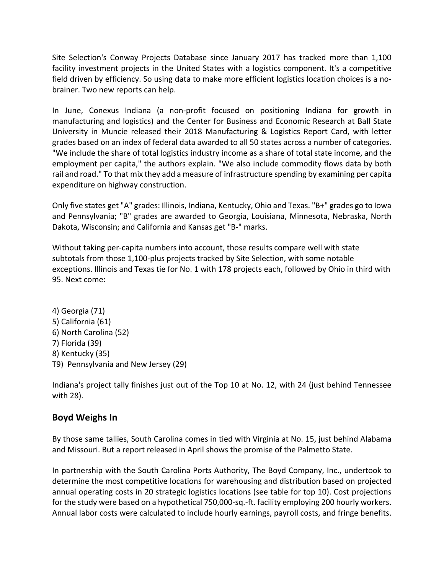Site Selection's Conway Projects Database since January 2017 has tracked more than 1,100 facility investment projects in the United States with a logistics component. It's a competitive field driven by efficiency. So using data to make more efficient logistics location choices is a no‐ brainer. Two new reports can help.

In June, Conexus Indiana (a non-profit focused on positioning Indiana for growth in manufacturing and logistics) and the Center for Business and Economic Research at Ball State University in Muncie released their 2018 Manufacturing & Logistics Report Card, with letter grades based on an index of federal data awarded to all 50 states across a number of categories. "We include the share of total logistics industry income as a share of total state income, and the employment per capita," the authors explain. "We also include commodity flows data by both rail and road." To that mix they add a measure of infrastructure spending by examining per capita expenditure on highway construction.

Only five states get "A" grades: Illinois, Indiana, Kentucky, Ohio and Texas. "B+" grades go to Iowa and Pennsylvania; "B" grades are awarded to Georgia, Louisiana, Minnesota, Nebraska, North Dakota, Wisconsin; and California and Kansas get "B‐" marks.

Without taking per-capita numbers into account, those results compare well with state subtotals from those 1,100‐plus projects tracked by Site Selection, with some notable exceptions. Illinois and Texas tie for No. 1 with 178 projects each, followed by Ohio in third with 95. Next come:

4) Georgia (71) 5) California (61) 6) North Carolina (52) 7) Florida (39) 8) Kentucky (35) T9) Pennsylvania and New Jersey (29)

Indiana's project tally finishes just out of the Top 10 at No. 12, with 24 (just behind Tennessee with 28).

## **Boyd Weighs In**

By those same tallies, South Carolina comes in tied with Virginia at No. 15, just behind Alabama and Missouri. But a report released in April shows the promise of the Palmetto State.

In partnership with the South Carolina Ports Authority, The Boyd Company, Inc., undertook to determine the most competitive locations for warehousing and distribution based on projected annual operating costs in 20 strategic logistics locations (see table for top 10). Cost projections for the study were based on a hypothetical 750,000‐sq.‐ft. facility employing 200 hourly workers. Annual labor costs were calculated to include hourly earnings, payroll costs, and fringe benefits.